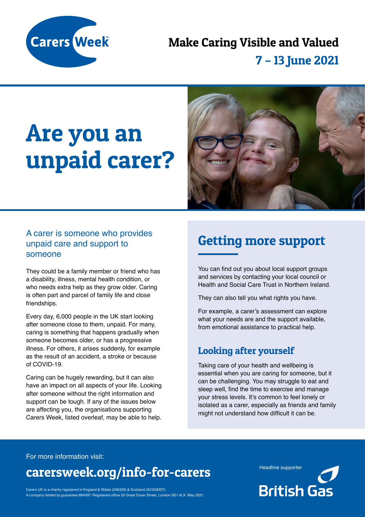

# Make Caring Visible and Valued

## 7 – 13 June 2021

# Are you an unpaid carer?



#### A carer is someone who provides unpaid care and support to someone

They could be a family member or friend who has a disability, illness, mental health condition, or who needs extra help as they grow older. Caring is often part and parcel of family life and close friendships.

Every day, 6,000 people in the UK start looking after someone close to them, unpaid. For many, caring is something that happens gradually when someone becomes older, or has a progressive illness. For others, it arises suddenly, for example as the result of an accident, a stroke or because of COVID-19.

Caring can be hugely rewarding, but it can also have an impact on all aspects of your life. Looking after someone without the right information and support can be tough. If any of the issues below are affecting you, the organisations supporting Carers Week, listed overleaf, may be able to help.

## Getting more support

You can find out you about local support groups and services by contacting your local council or Health and Social Care Trust in Northern Ireland.

They can also tell you what rights you have.

For example, a carer's assessment can explore what your needs are and the support available, from emotional assistance to practical help.

### Looking after yourself

Taking care of your health and wellbeing is essential when you are caring for someone, but it can be challenging. You may struggle to eat and sleep well, find the time to exercise and manage your stress levels. It's common to feel lonely or isolated as a carer, especially as friends and family might not understand how difficult it can be.

For more information visit:

## carersweek.org/info-for-carers Headline supporter

**British Gas** 

Carers UK is a charity registered in England & Wales (246329) & Scotland (SC039307). A company limited by guarantee 864097. Registered office 20 Great Dover Street, London SE1 4LX. May 2021.